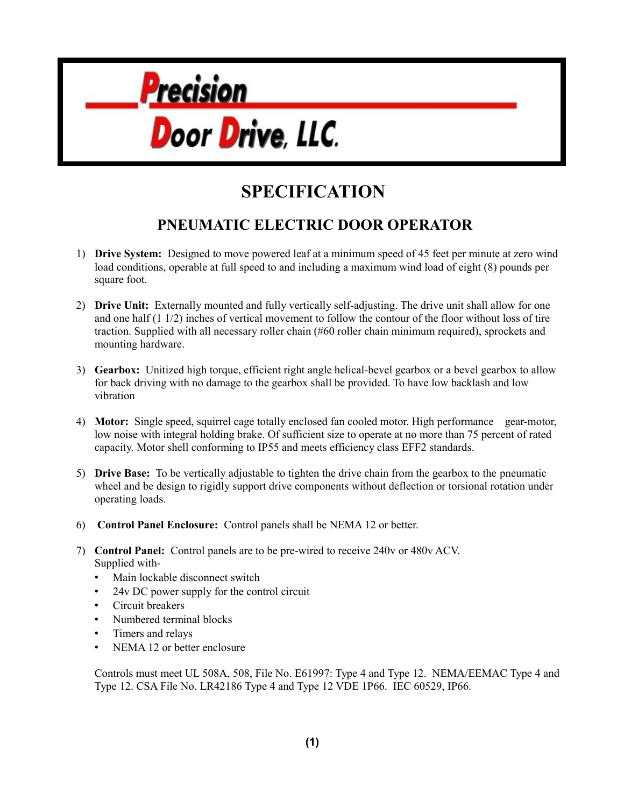

## **SPECIFICATION**

## **PNEUMATIC ELECTRIC DOOR OPERATOR**

- 1) **Drive System:** Designed to move powered leaf at a minimum speed of 45 feet per minute at zero wind load conditions, operable at full speed to and including a maximum wind load of eight (8) pounds per square foot.
- 2) **Drive Unit:** Externally mounted and fully vertically self-adjusting. The drive unit shall allow for one and one half (1 1/2) inches of vertical movement to follow the contour of the floor without loss of tire traction. Supplied with all necessary roller chain (#60 roller chain minimum required), sprockets and mounting hardware.
- 3) **Gearbox:** Unitized high torque, efficient right angle helical-bevel gearbox or a bevel gearbox to allow for back driving with no damage to the gearbox shall be provided. To have low backlash and low vibration
- 4) **Motor:** Single speed, squirrel cage totally enclosed fan cooled motor. High performance gear-motor, low noise with integral holding brake. Of sufficient size to operate at no more than 75 percent of rated capacity. Motor shell conforming to IP55 and meets efficiency class EFF2 standards.
- 5) **Drive Base:** To be vertically adjustable to tighten the drive chain from the gearbox to the pneumatic wheel and be design to rigidly support drive components without deflection or torsional rotation under operating loads.
- 6) **Control Panel Enclosure:** Control panels shall be NEMA 12 or better.
- 7) **Control Panel:** Control panels are to be pre-wired to receive 240v or 480v ACV. Supplied with-
	- Main lockable disconnect switch
	- 24v DC power supply for the control circuit
	- Circuit breakers
	- Numbered terminal blocks
	- Timers and relays
	- NEMA 12 or better enclosure

Controls must meet UL 508A, 508, File No. E61997: Type 4 and Type 12. NEMA/EEMAC Type 4 and Type 12. CSA File No. LR42186 Type 4 and Type 12 VDE 1P66. IEC 60529, IP66.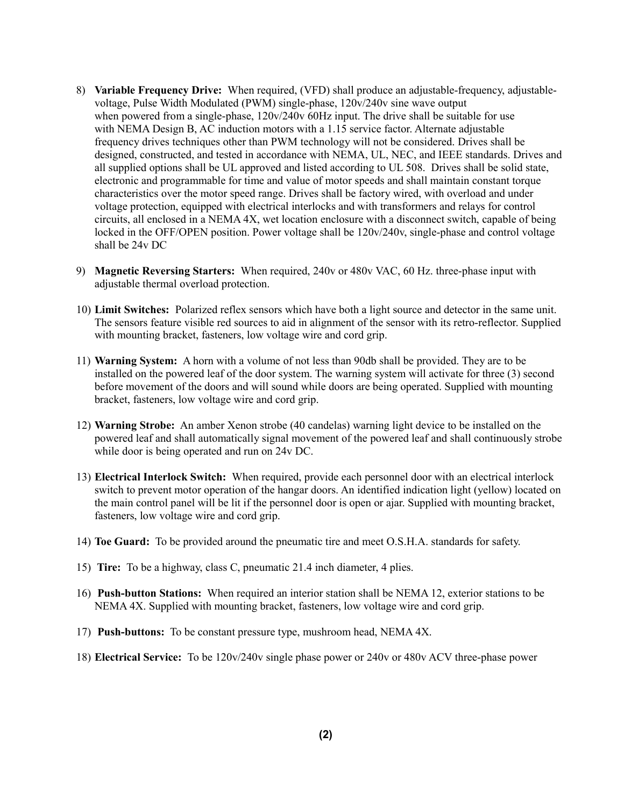- 8) **Variable Frequency Drive:** When required, (VFD) shall produce an adjustable-frequency, adjustablevoltage, Pulse Width Modulated (PWM) single-phase, 120v/240v sine wave output when powered from a single-phase,  $120v/240v$  60Hz input. The drive shall be suitable for use with NEMA Design B, AC induction motors with a 1.15 service factor. Alternate adjustable frequency drives techniques other than PWM technology will not be considered. Drives shall be designed, constructed, and tested in accordance with NEMA, UL, NEC, and IEEE standards. Drives and all supplied options shall be UL approved and listed according to UL 508. Drives shall be solid state, electronic and programmable for time and value of motor speeds and shall maintain constant torque characteristics over the motor speed range. Drives shall be factory wired, with overload and under voltage protection, equipped with electrical interlocks and with transformers and relays for control circuits, all enclosed in a NEMA 4X, wet location enclosure with a disconnect switch, capable of being locked in the OFF/OPEN position. Power voltage shall be 120v/240v, single-phase and control voltage shall be 24v DC
- 9) **Magnetic Reversing Starters:** When required, 240v or 480v VAC, 60 Hz. three-phase input with adjustable thermal overload protection.
- 10) **Limit Switches:** Polarized reflex sensors which have both a light source and detector in the same unit. The sensors feature visible red sources to aid in alignment of the sensor with its retro-reflector. Supplied with mounting bracket, fasteners, low voltage wire and cord grip.
- 11) **Warning System:** A horn with a volume of not less than 90db shall be provided. They are to be installed on the powered leaf of the door system. The warning system will activate for three (3) second before movement of the doors and will sound while doors are being operated. Supplied with mounting bracket, fasteners, low voltage wire and cord grip.
- 12) **Warning Strobe:** An amber Xenon strobe (40 candelas) warning light device to be installed on the powered leaf and shall automatically signal movement of the powered leaf and shall continuously strobe while door is being operated and run on 24v DC.
- 13) **Electrical Interlock Switch:** When required, provide each personnel door with an electrical interlock switch to prevent motor operation of the hangar doors. An identified indication light (yellow) located on the main control panel will be lit if the personnel door is open or ajar. Supplied with mounting bracket, fasteners, low voltage wire and cord grip.
- 14) **Toe Guard:** To be provided around the pneumatic tire and meet O.S.H.A. standards for safety.
- 15) **Tire:** To be a highway, class C, pneumatic 21.4 inch diameter, 4 plies.
- 16) **Push-button Stations:** When required an interior station shall be NEMA 12, exterior stations to be NEMA 4X. Supplied with mounting bracket, fasteners, low voltage wire and cord grip.
- 17) **Push-buttons:** To be constant pressure type, mushroom head, NEMA 4X.
- 18) **Electrical Service:** To be 120v/240v single phase power or 240v or 480v ACV three-phase power